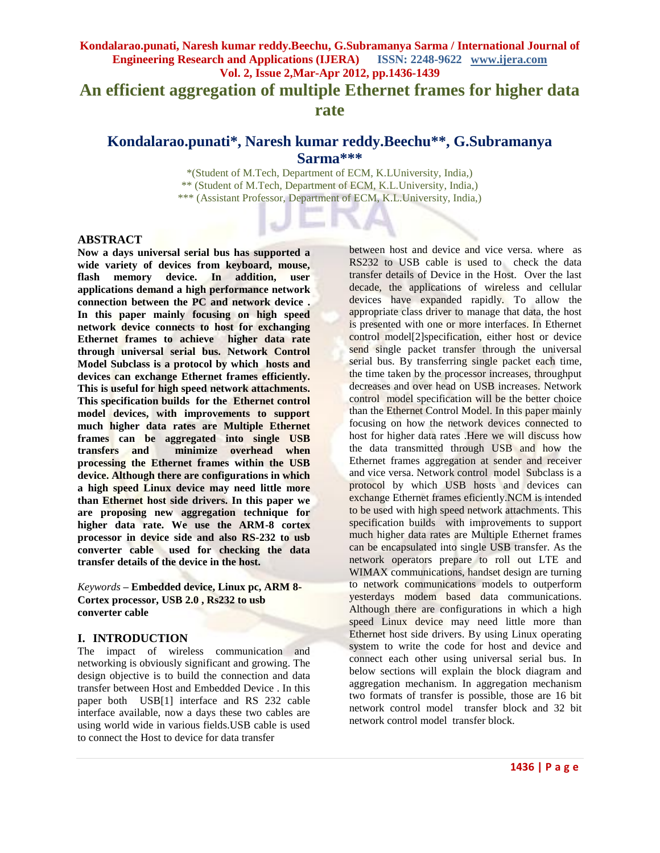# **Kondalarao.punati, Naresh kumar reddy.Beechu, G.Subramanya Sarma / International Journal of Engineering Research and Applications (IJERA) ISSN: 2248-9622 www.ijera.com Vol. 2, Issue 2,Mar-Apr 2012, pp.1436-1439 An efficient aggregation of multiple Ethernet frames for higher data rate**

# **Kondalarao.punati\*, Naresh kumar reddy.Beechu\*\* , G.Subramanya Sarma\*\*\***

\*(Student of M.Tech, Department of ECM, K.LUniversity, India,) \*\* (Student of M.Tech, Department of ECM, K.L.University, India,) \*\*\* (Assistant Professor, Department of ECM, K.L.University, India,)

### **ABSTRACT**

**Now a days universal serial bus has supported a wide variety of devices from keyboard, mouse, flash memory device. In addition, user applications demand a high performance network connection between the PC and network device . In this paper mainly focusing on high speed network device connects to host for exchanging Ethernet frames to achieve higher data rate through universal serial bus. Network Control Model Subclass is a protocol by which hosts and devices can exchange Ethernet frames efficiently. This is useful for high speed network attachments. This specification builds for the Ethernet control model devices, with improvements to support much higher data rates are Multiple Ethernet frames can be aggregated into single USB transfers and minimize overhead when processing the Ethernet frames within the USB device. Although there are configurations in which a high speed Linux device may need little more than Ethernet host side drivers. In this paper we are proposing new aggregation technique for higher data rate. We use the ARM-8 cortex processor in device side and also RS-232 to usb converter cable used for checking the data transfer details of the device in the host.** 

*Keywords* **– Embedded device, Linux pc, ARM 8- Cortex processor, USB 2.0 , Rs232 to usb converter cable**

### **I. INTRODUCTION**

The impact of wireless communication and networking is obviously significant and growing. The design objective is to build the connection and data transfer between Host and Embedded Device . In this paper both USB[1] interface and RS 232 cable interface available, now a days these two cables are using world wide in various fields.USB cable is used to connect the Host to device for data transfer

between host and device and vice versa. where as RS232 to USB cable is used to check the data transfer details of Device in the Host. Over the last decade, the applications of wireless and cellular devices have expanded rapidly. To allow the appropriate class driver to manage that data, the host is presented with one or more interfaces. In Ethernet control model[2]specification, either host or device send single packet transfer through the universal serial bus. By transferring single packet each time, the time taken by the processor increases, throughput decreases and over head on USB increases. Network control model specification will be the better choice than the Ethernet Control Model. In this paper mainly focusing on how the network devices connected to host for higher data rates .Here we will discuss how the data transmitted through USB and how the Ethernet frames aggregation at sender and receiver and vice versa. Network control model Subclass is a protocol by which USB hosts and devices can exchange Ethernet frames eficiently.NCM is intended to be used with high speed network attachments. This specification builds with improvements to support much higher data rates are Multiple Ethernet frames can be encapsulated into single USB transfer. As the network operators prepare to roll out LTE and WIMAX communications, handset design are turning to network communications models to outperform yesterdays modem based data communications. Although there are configurations in which a high speed Linux device may need little more than Ethernet host side drivers. By using Linux operating system to write the code for host and device and connect each other using universal serial bus. In below sections will explain the block diagram and aggregation mechanism. In aggregation mechanism two formats of transfer is possible, those are 16 bit network control model transfer block and 32 bit network control model transfer block.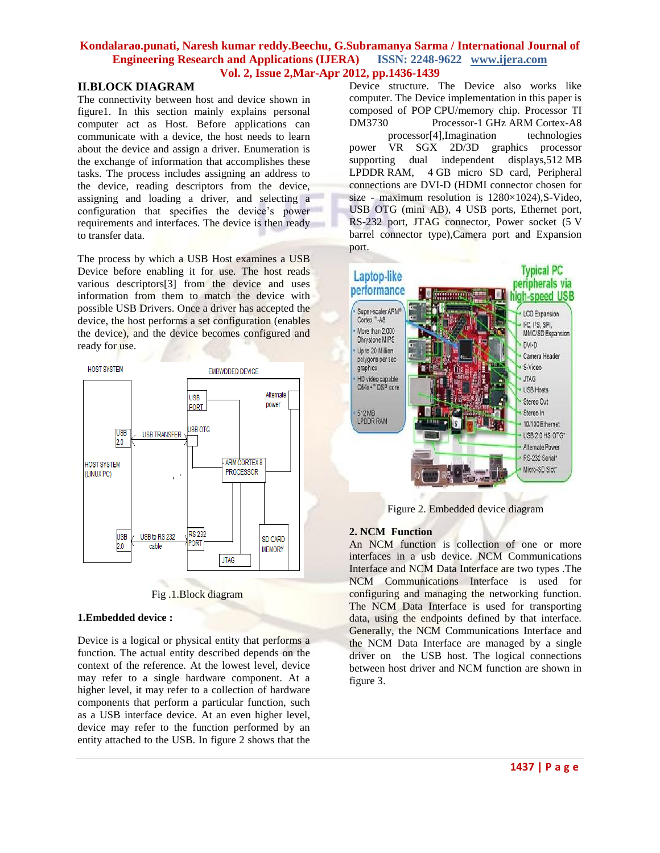## **Kondalarao.punati, Naresh kumar reddy.Beechu, G.Subramanya Sarma / International Journal of Engineering Research and Applications (IJERA) ISSN: 2248-9622 www.ijera.com Vol. 2, Issue 2,Mar-Apr 2012, pp.1436-1439**

## **II.BLOCK DIAGRAM**

The connectivity between host and device shown in figure1. In this section mainly explains personal computer act as Host. Before applications can communicate with a device, the host needs to learn about the device and assign a driver. Enumeration is the exchange of information that accomplishes these tasks. The process includes assigning an address to the device, reading descriptors from the device, assigning and loading a driver, and selecting a configuration that specifies the device's power requirements and interfaces. The device is then ready to transfer data.

The process by which a USB Host examines a USB Device before enabling it for use. The host reads various descriptors[3] from the device and uses information from them to match the device with possible USB Drivers. Once a driver has accepted the device, the host performs a set configuration (enables the device), and the device becomes configured and ready for use.



Fig .1.Block diagram

### **1.Embedded device :**

Device is a logical or physical entity that performs a function. The actual entity described depends on the context of the reference. At the lowest level, device may refer to a single hardware component. At a higher level, it may refer to a collection of hardware components that perform a particular function, such as a USB interface device. At an even higher level, device may refer to the function performed by an entity attached to the USB. In figure 2 shows that the

Device structure. The Device also works like computer. The Device implementation in this paper is composed of POP CPU/memory chip. Processor TI DM3730 Processor-1 GHz [ARM](http://en.wikipedia.org/wiki/ARM_architecture) Cortex-A8

processor[4],Imagination technologies power VR SGX 2D/3D graphics processor supporting dual independent displays,512 MB LPDDR RAM, 4 GB micro SD card, Peripheral connections are DVI-D (HDMI connector chosen for size - maximum resolution is 1280×1024),S-Video, USB OTG (mini AB), 4 USB ports, Ethernet port, RS-232 port, JTAG connector, Power socket (5 V barrel connector type),Camera port and Expansion port.



Figure 2. Embedded device diagram

### **2. NCM Function**

An NCM function is collection of one or more interfaces in a usb device. NCM Communications Interface and NCM Data Interface are two types .The NCM Communications Interface is used for configuring and managing the networking function. The NCM Data Interface is used for transporting data, using the endpoints defined by that interface. Generally, the NCM Communications Interface and the NCM Data Interface are managed by a single driver on the USB host. The logical connections between host driver and NCM function are shown in figure 3.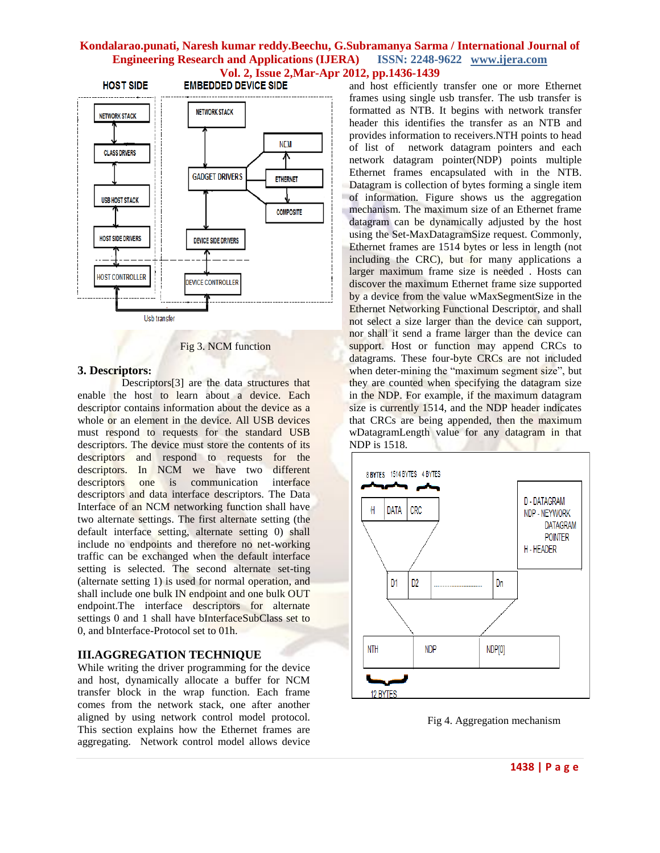# **Kondalarao.punati, Naresh kumar reddy.Beechu, G.Subramanya Sarma / International Journal of Engineering Research and Applications (IJERA) ISSN: 2248-9622 www.ijera.com Vol. 2, Issue 2, Mar-Apr 2012, pp.1436-1439**<br>and host efficiently and host efficiently



Fig 3. NCM function

#### **3. Descriptors:**

 Descriptors[3] are the data structures that enable the host to learn about a device. Each descriptor contains information about the device as a whole or an element in the device. All USB devices must respond to requests for the standard USB descriptors. The device must store the contents of its descriptors and respond to requests for the descriptors. In NCM we have two different descriptors one is communication interface descriptors and data interface descriptors. The Data Interface of an NCM networking function shall have two alternate settings. The first alternate setting (the default interface setting, alternate setting 0) shall include no endpoints and therefore no net-working traffic can be exchanged when the default interface setting is selected. The second alternate set-ting (alternate setting 1) is used for normal operation, and shall include one bulk IN endpoint and one bulk OUT endpoint.The interface descriptors for alternate settings 0 and 1 shall have bInterfaceSubClass set to 0, and bInterface-Protocol set to 01h.

## **III.AGGREGATION TECHNIQUE**

While writing the driver programming for the device and host, dynamically allocate a buffer for NCM transfer block in the wrap function. Each frame comes from the network stack, one after another aligned by using network control model protocol. This section explains how the Ethernet frames are aggregating. Network control model allows device

and host efficiently transfer one or more Ethernet frames using single usb transfer. The usb transfer is formatted as NTB. It begins with network transfer header this identifies the transfer as an NTB and provides information to receivers.NTH points to head of list of network datagram pointers and each network datagram pointer(NDP) points multiple Ethernet frames encapsulated with in the NTB. Datagram is collection of bytes forming a single item of information. Figure shows us the aggregation mechanism. The maximum size of an Ethernet frame datagram can be dynamically adjusted by the host using the Set-MaxDatagramSize request. Commonly, Ethernet frames are 1514 bytes or less in length (not including the CRC), but for many applications a larger maximum frame size is needed . Hosts can discover the maximum Ethernet frame size supported by a device from the value wMaxSegmentSize in the Ethernet Networking Functional Descriptor, and shall not select a size larger than the device can support, nor shall it send a frame larger than the device can support. Host or function may append CRCs to datagrams. These four-byte CRCs are not included when deter-mining the "maximum segment size", but they are counted when specifying the datagram size in the NDP. For example, if the maximum datagram size is currently 1514, and the NDP header indicates that CRCs are being appended, then the maximum wDatagramLength value for any datagram in that NDP is 1518.



Fig 4. Aggregation mechanism